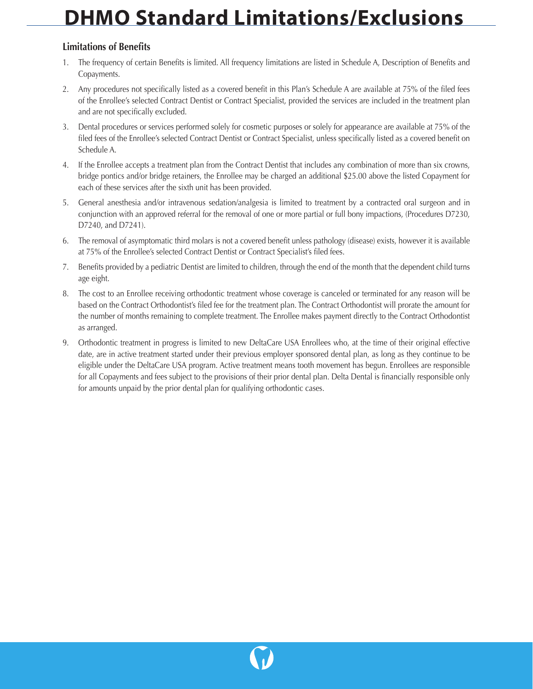## **DHMO Standard Limitations/Exclusions**

## **Limitations of Benefits**

- 1. The frequency of certain Benefits is limited. All frequency limitations are listed in Schedule A, Description of Benefits and Copayments.
- 2. Any procedures not specifically listed as a covered benefit in this Plan's Schedule A are available at 75% of the filed fees of the Enrollee's selected Contract Dentist or Contract Specialist, provided the services are included in the treatment plan and are not specifically excluded.
- 3. Dental procedures or services performed solely for cosmetic purposes or solely for appearance are available at 75% of the filed fees of the Enrollee's selected Contract Dentist or Contract Specialist, unless specifically listed as a covered benefit on Schedule A.
- 4. If the Enrollee accepts a treatment plan from the Contract Dentist that includes any combination of more than six crowns, bridge pontics and/or bridge retainers, the Enrollee may be charged an additional \$25.00 above the listed Copayment for each of these services after the sixth unit has been provided.
- 5. General anesthesia and/or intravenous sedation/analgesia is limited to treatment by a contracted oral surgeon and in conjunction with an approved referral for the removal of one or more partial or full bony impactions, (Procedures D7230, D7240, and D7241).
- 6. The removal of asymptomatic third molars is not a covered benefit unless pathology (disease) exists, however it is available at 75% of the Enrollee's selected Contract Dentist or Contract Specialist's filed fees.
- 7. Benefits provided by a pediatric Dentist are limited to children, through the end of the month that the dependent child turns age eight.
- 8. The cost to an Enrollee receiving orthodontic treatment whose coverage is canceled or terminated for any reason will be based on the Contract Orthodontist's filed fee for the treatment plan. The Contract Orthodontist will prorate the amount for the number of months remaining to complete treatment. The Enrollee makes payment directly to the Contract Orthodontist as arranged.
- 9. Orthodontic treatment in progress is limited to new DeltaCare USA Enrollees who, at the time of their original effective date, are in active treatment started under their previous employer sponsored dental plan, as long as they continue to be eligible under the DeltaCare USA program. Active treatment means tooth movement has begun. Enrollees are responsible for all Copayments and fees subject to the provisions of their prior dental plan. Delta Dental is financially responsible only for amounts unpaid by the prior dental plan for qualifying orthodontic cases.